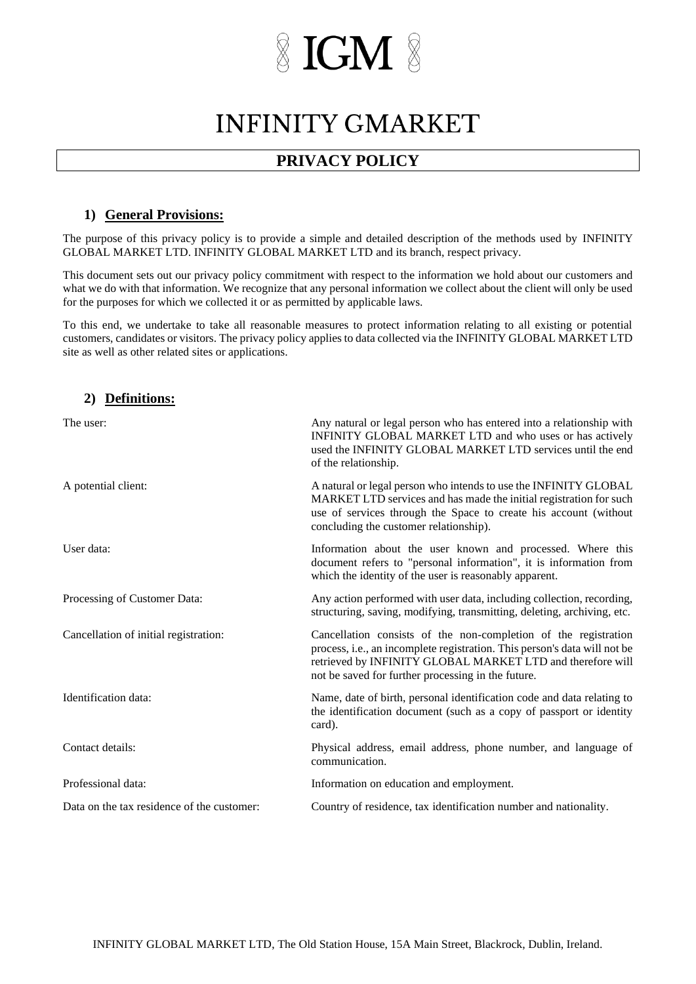### **INFINITY GMARKET**

### **PRIVACY POLICY**

#### **1) General Provisions:**

The purpose of this privacy policy is to provide a simple and detailed description of the methods used by INFINITY GLOBAL MARKET LTD. INFINITY GLOBAL MARKET LTD and its branch, respect privacy.

This document sets out our privacy policy commitment with respect to the information we hold about our customers and what we do with that information. We recognize that any personal information we collect about the client will only be used for the purposes for which we collected it or as permitted by applicable laws.

To this end, we undertake to take all reasonable measures to protect information relating to all existing or potential customers, candidates or visitors. The privacy policy applies to data collected via the INFINITY GLOBAL MARKET LTD site as well as other related sites or applications.

#### **2) Definitions:**

| The user:                                  | Any natural or legal person who has entered into a relationship with<br>INFINITY GLOBAL MARKET LTD and who uses or has actively<br>used the INFINITY GLOBAL MARKET LTD services until the end<br>of the relationship.                                            |
|--------------------------------------------|------------------------------------------------------------------------------------------------------------------------------------------------------------------------------------------------------------------------------------------------------------------|
| A potential client:                        | A natural or legal person who intends to use the INFINITY GLOBAL<br>MARKET LTD services and has made the initial registration for such<br>use of services through the Space to create his account (without<br>concluding the customer relationship).             |
| User data:                                 | Information about the user known and processed. Where this<br>document refers to "personal information", it is information from<br>which the identity of the user is reasonably apparent.                                                                        |
| Processing of Customer Data:               | Any action performed with user data, including collection, recording,<br>structuring, saving, modifying, transmitting, deleting, archiving, etc.                                                                                                                 |
| Cancellation of initial registration:      | Cancellation consists of the non-completion of the registration<br>process, i.e., an incomplete registration. This person's data will not be<br>retrieved by INFINITY GLOBAL MARKET LTD and therefore will<br>not be saved for further processing in the future. |
| Identification data:                       | Name, date of birth, personal identification code and data relating to<br>the identification document (such as a copy of passport or identity<br>card).                                                                                                          |
| Contact details:                           | Physical address, email address, phone number, and language of<br>communication.                                                                                                                                                                                 |
| Professional data:                         | Information on education and employment.                                                                                                                                                                                                                         |
| Data on the tax residence of the customer: | Country of residence, tax identification number and nationality.                                                                                                                                                                                                 |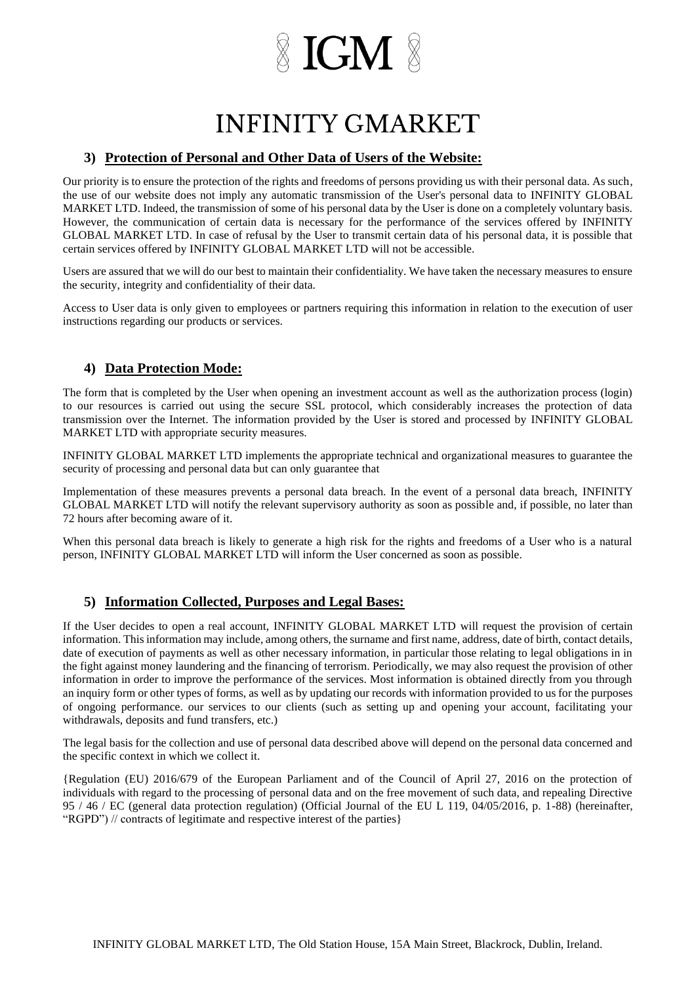# $\mathbb X$  IGM  $\mathbb X$

### **INFINITY GMARKET**

#### **3) Protection of Personal and Other Data of Users of the Website:**

Our priority is to ensure the protection of the rights and freedoms of persons providing us with their personal data. As such, the use of our website does not imply any automatic transmission of the User's personal data to INFINITY GLOBAL MARKET LTD. Indeed, the transmission of some of his personal data by the User is done on a completely voluntary basis. However, the communication of certain data is necessary for the performance of the services offered by INFINITY GLOBAL MARKET LTD. In case of refusal by the User to transmit certain data of his personal data, it is possible that certain services offered by INFINITY GLOBAL MARKET LTD will not be accessible.

Users are assured that we will do our best to maintain their confidentiality. We have taken the necessary measures to ensure the security, integrity and confidentiality of their data.

Access to User data is only given to employees or partners requiring this information in relation to the execution of user instructions regarding our products or services.

#### **4) Data Protection Mode:**

The form that is completed by the User when opening an investment account as well as the authorization process (login) to our resources is carried out using the secure SSL protocol, which considerably increases the protection of data transmission over the Internet. The information provided by the User is stored and processed by INFINITY GLOBAL MARKET LTD with appropriate security measures.

INFINITY GLOBAL MARKET LTD implements the appropriate technical and organizational measures to guarantee the security of processing and personal data but can only guarantee that

Implementation of these measures prevents a personal data breach. In the event of a personal data breach, INFINITY GLOBAL MARKET LTD will notify the relevant supervisory authority as soon as possible and, if possible, no later than 72 hours after becoming aware of it.

When this personal data breach is likely to generate a high risk for the rights and freedoms of a User who is a natural person, INFINITY GLOBAL MARKET LTD will inform the User concerned as soon as possible.

#### **5) Information Collected, Purposes and Legal Bases:**

If the User decides to open a real account, INFINITY GLOBAL MARKET LTD will request the provision of certain information. This information may include, among others, the surname and first name, address, date of birth, contact details, date of execution of payments as well as other necessary information, in particular those relating to legal obligations in in the fight against money laundering and the financing of terrorism. Periodically, we may also request the provision of other information in order to improve the performance of the services. Most information is obtained directly from you through an inquiry form or other types of forms, as well as by updating our records with information provided to us for the purposes of ongoing performance. our services to our clients (such as setting up and opening your account, facilitating your withdrawals, deposits and fund transfers, etc.)

The legal basis for the collection and use of personal data described above will depend on the personal data concerned and the specific context in which we collect it.

{Regulation (EU) 2016/679 of the European Parliament and of the Council of April 27, 2016 on the protection of individuals with regard to the processing of personal data and on the free movement of such data, and repealing Directive 95 / 46 / EC (general data protection regulation) (Official Journal of the EU L 119, 04/05/2016, p. 1-88) (hereinafter, "RGPD") // contracts of legitimate and respective interest of the parties}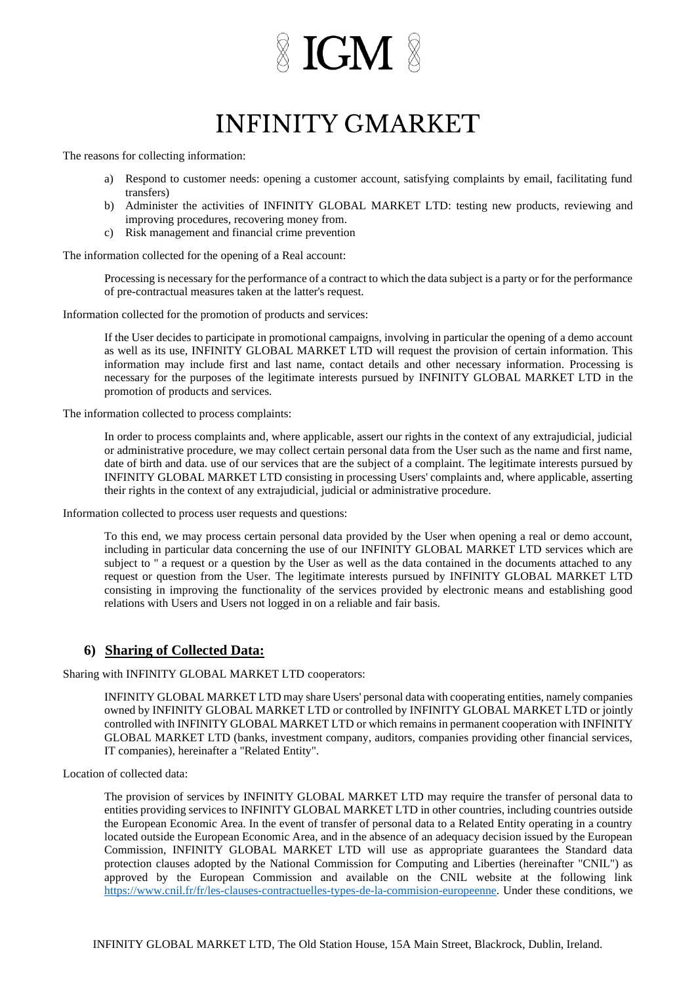# $\mathbb X$  IGM  $\mathbb X$

## **INFINITY GMARKET**

The reasons for collecting information:

- a) Respond to customer needs: opening a customer account, satisfying complaints by email, facilitating fund transfers)
- b) Administer the activities of INFINITY GLOBAL MARKET LTD: testing new products, reviewing and improving procedures, recovering money from.
- c) Risk management and financial crime prevention

The information collected for the opening of a Real account:

Processing is necessary for the performance of a contract to which the data subject is a party or for the performance of pre-contractual measures taken at the latter's request.

Information collected for the promotion of products and services:

If the User decides to participate in promotional campaigns, involving in particular the opening of a demo account as well as its use, INFINITY GLOBAL MARKET LTD will request the provision of certain information. This information may include first and last name, contact details and other necessary information. Processing is necessary for the purposes of the legitimate interests pursued by INFINITY GLOBAL MARKET LTD in the promotion of products and services.

The information collected to process complaints:

In order to process complaints and, where applicable, assert our rights in the context of any extrajudicial, judicial or administrative procedure, we may collect certain personal data from the User such as the name and first name, date of birth and data. use of our services that are the subject of a complaint. The legitimate interests pursued by INFINITY GLOBAL MARKET LTD consisting in processing Users' complaints and, where applicable, asserting their rights in the context of any extrajudicial, judicial or administrative procedure.

Information collected to process user requests and questions:

To this end, we may process certain personal data provided by the User when opening a real or demo account, including in particular data concerning the use of our INFINITY GLOBAL MARKET LTD services which are subject to " a request or a question by the User as well as the data contained in the documents attached to any request or question from the User. The legitimate interests pursued by INFINITY GLOBAL MARKET LTD consisting in improving the functionality of the services provided by electronic means and establishing good relations with Users and Users not logged in on a reliable and fair basis.

#### **6) Sharing of Collected Data:**

Sharing with INFINITY GLOBAL MARKET LTD cooperators:

INFINITY GLOBAL MARKET LTD may share Users' personal data with cooperating entities, namely companies owned by INFINITY GLOBAL MARKET LTD or controlled by INFINITY GLOBAL MARKET LTD or jointly controlled with INFINITY GLOBAL MARKET LTD or which remains in permanent cooperation with INFINITY GLOBAL MARKET LTD (banks, investment company, auditors, companies providing other financial services, IT companies), hereinafter a "Related Entity".

Location of collected data:

The provision of services by INFINITY GLOBAL MARKET LTD may require the transfer of personal data to entities providing services to INFINITY GLOBAL MARKET LTD in other countries, including countries outside the European Economic Area. In the event of transfer of personal data to a Related Entity operating in a country located outside the European Economic Area, and in the absence of an adequacy decision issued by the European Commission, INFINITY GLOBAL MARKET LTD will use as appropriate guarantees the Standard data protection clauses adopted by the National Commission for Computing and Liberties (hereinafter "CNIL") as approved by the European Commission and available on the CNIL website at the following link [https://www.cnil.fr/fr/les-clauses-contractuelles-types-de-la-commision-europeenne.](https://www.cnil.fr/fr/les-clauses-contractuelles-types-de-la-commision-europeenne) Under these conditions, we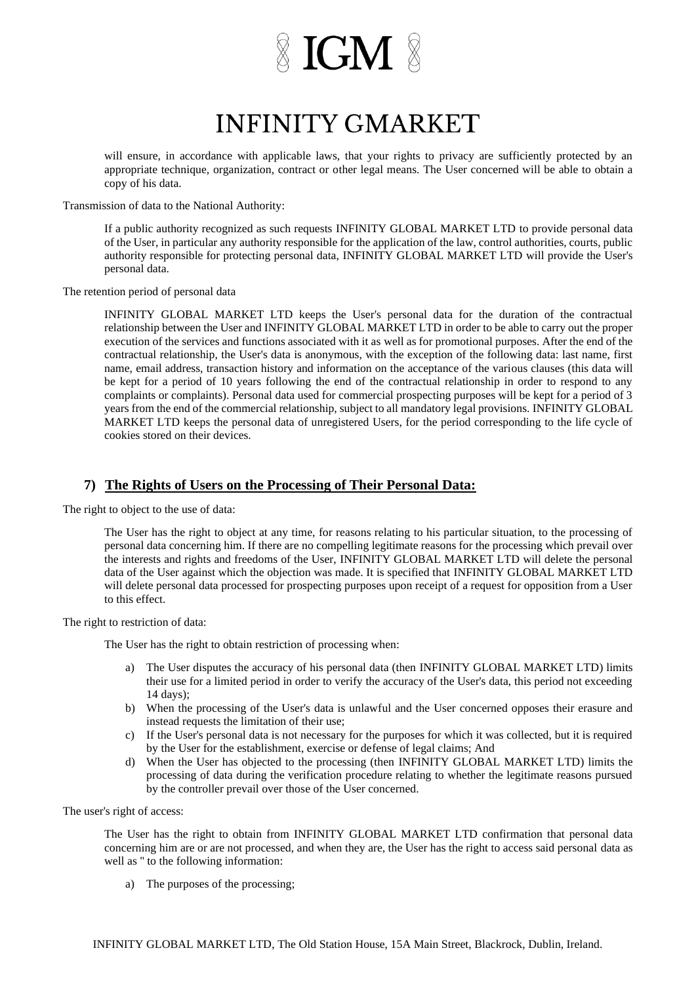### **INFINITY GMARKET**

will ensure, in accordance with applicable laws, that your rights to privacy are sufficiently protected by an appropriate technique, organization, contract or other legal means. The User concerned will be able to obtain a copy of his data.

Transmission of data to the National Authority:

If a public authority recognized as such requests INFINITY GLOBAL MARKET LTD to provide personal data of the User, in particular any authority responsible for the application of the law, control authorities, courts, public authority responsible for protecting personal data, INFINITY GLOBAL MARKET LTD will provide the User's personal data.

The retention period of personal data

INFINITY GLOBAL MARKET LTD keeps the User's personal data for the duration of the contractual relationship between the User and INFINITY GLOBAL MARKET LTD in order to be able to carry out the proper execution of the services and functions associated with it as well as for promotional purposes. After the end of the contractual relationship, the User's data is anonymous, with the exception of the following data: last name, first name, email address, transaction history and information on the acceptance of the various clauses (this data will be kept for a period of 10 years following the end of the contractual relationship in order to respond to any complaints or complaints). Personal data used for commercial prospecting purposes will be kept for a period of 3 years from the end of the commercial relationship, subject to all mandatory legal provisions. INFINITY GLOBAL MARKET LTD keeps the personal data of unregistered Users, for the period corresponding to the life cycle of cookies stored on their devices.

#### **7) The Rights of Users on the Processing of Their Personal Data:**

The right to object to the use of data:

The User has the right to object at any time, for reasons relating to his particular situation, to the processing of personal data concerning him. If there are no compelling legitimate reasons for the processing which prevail over the interests and rights and freedoms of the User, INFINITY GLOBAL MARKET LTD will delete the personal data of the User against which the objection was made. It is specified that INFINITY GLOBAL MARKET LTD will delete personal data processed for prospecting purposes upon receipt of a request for opposition from a User to this effect.

The right to restriction of data:

The User has the right to obtain restriction of processing when:

- a) The User disputes the accuracy of his personal data (then INFINITY GLOBAL MARKET LTD) limits their use for a limited period in order to verify the accuracy of the User's data, this period not exceeding 14 days);
- b) When the processing of the User's data is unlawful and the User concerned opposes their erasure and instead requests the limitation of their use;
- c) If the User's personal data is not necessary for the purposes for which it was collected, but it is required by the User for the establishment, exercise or defense of legal claims; And
- d) When the User has objected to the processing (then INFINITY GLOBAL MARKET LTD) limits the processing of data during the verification procedure relating to whether the legitimate reasons pursued by the controller prevail over those of the User concerned.

The user's right of access:

The User has the right to obtain from INFINITY GLOBAL MARKET LTD confirmation that personal data concerning him are or are not processed, and when they are, the User has the right to access said personal data as well as '' to the following information:

a) The purposes of the processing;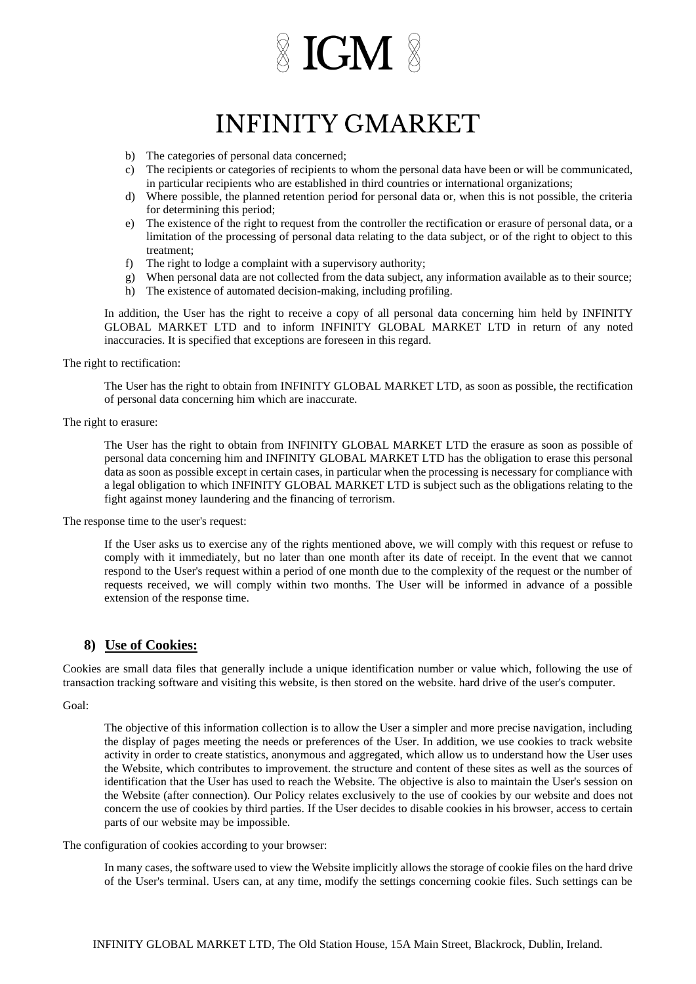## **INFINITY GMARKET**

- b) The categories of personal data concerned;
- c) The recipients or categories of recipients to whom the personal data have been or will be communicated, in particular recipients who are established in third countries or international organizations;
- d) Where possible, the planned retention period for personal data or, when this is not possible, the criteria for determining this period;
- e) The existence of the right to request from the controller the rectification or erasure of personal data, or a limitation of the processing of personal data relating to the data subject, or of the right to object to this treatment;
- f) The right to lodge a complaint with a supervisory authority;
- g) When personal data are not collected from the data subject, any information available as to their source;
- h) The existence of automated decision-making, including profiling.

In addition, the User has the right to receive a copy of all personal data concerning him held by INFINITY GLOBAL MARKET LTD and to inform INFINITY GLOBAL MARKET LTD in return of any noted inaccuracies. It is specified that exceptions are foreseen in this regard.

The right to rectification:

The User has the right to obtain from INFINITY GLOBAL MARKET LTD, as soon as possible, the rectification of personal data concerning him which are inaccurate.

#### The right to erasure:

The User has the right to obtain from INFINITY GLOBAL MARKET LTD the erasure as soon as possible of personal data concerning him and INFINITY GLOBAL MARKET LTD has the obligation to erase this personal data as soon as possible except in certain cases, in particular when the processing is necessary for compliance with a legal obligation to which INFINITY GLOBAL MARKET LTD is subject such as the obligations relating to the fight against money laundering and the financing of terrorism.

The response time to the user's request:

If the User asks us to exercise any of the rights mentioned above, we will comply with this request or refuse to comply with it immediately, but no later than one month after its date of receipt. In the event that we cannot respond to the User's request within a period of one month due to the complexity of the request or the number of requests received, we will comply within two months. The User will be informed in advance of a possible extension of the response time.

#### **8) Use of Cookies:**

Cookies are small data files that generally include a unique identification number or value which, following the use of transaction tracking software and visiting this website, is then stored on the website. hard drive of the user's computer.

Goal:

The objective of this information collection is to allow the User a simpler and more precise navigation, including the display of pages meeting the needs or preferences of the User. In addition, we use cookies to track website activity in order to create statistics, anonymous and aggregated, which allow us to understand how the User uses the Website, which contributes to improvement. the structure and content of these sites as well as the sources of identification that the User has used to reach the Website. The objective is also to maintain the User's session on the Website (after connection). Our Policy relates exclusively to the use of cookies by our website and does not concern the use of cookies by third parties. If the User decides to disable cookies in his browser, access to certain parts of our website may be impossible.

The configuration of cookies according to your browser:

In many cases, the software used to view the Website implicitly allows the storage of cookie files on the hard drive of the User's terminal. Users can, at any time, modify the settings concerning cookie files. Such settings can be